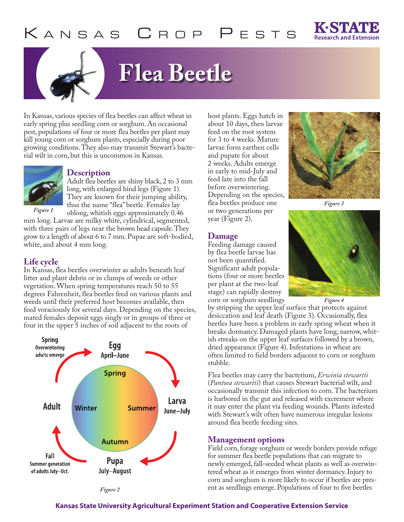

# **Flea Beetle**

In Kansas, various species of flea beetles can affect wheat in early spring plus seedling corn or sorghum. An occasional pest, populations of four or more flea beetles per plant may kill young corn or sorghum plants, especially during poor growing conditions. They also may transmit Stewart's bacterial wilt in corn, but this is uncommon in Kansas.



#### **Description**

Adult flea beetles are shiny black, 2 to 3 mm long, with enlarged hind legs (Figure 1). They are known for their jumping ability, thus the name "flea" beetle. Females lay oblong, whitish eggs approximately 0.46

*Figure 1*

mm long. Larvae are milky white, cylindrical, segmented, with three pairs of legs near the brown head capsule. They grow to a length of about 6 to 7 mm. Pupae are soft-bodied, white, and about 4 mm long.

## **Life cycle**

In Kansas, flea beetles overwinter as adults beneath leaf litter and plant debris or in clumps of weeds or other vegetation. When spring temperatures reach 50 to 55 degrees Fahrenheit, flea beetles feed on various plants and weeds until their preferred host becomes available, then feed voraciously for several days. Depending on the species, mated females deposit eggs singly or in groups of three or four in the upper 5 inches of soil adjacent to the roots of



host plants. Eggs hatch in about 10 days, then larvae feed on the root system for 3 to 4 weeks. Mature larvae form earthen cells and pupate for about 2 weeks. Adults emerge in early to mid-July and feed late into the fall before overwintering. Depending on the species, flea beetles produce one or two generations per year (Figure 2).

### **Damage**

Feeding damage caused by flea beetle larvae has not been quantified. Significant adult populations (four or more beetles per plant at the two-leaf stage) can rapidly destroy corn or sorghum seedlings



*Figure 3*



*Figure 4*

by stripping the upper leaf surface that protects against desiccation and leaf death (Figure 3). Occasionally, flea beetles have been a problem in early spring wheat when it breaks dormancy. Damaged plants have long, narrow, whitish streaks on the upper leaf surfaces followed by a brown, dried appearance (Figure 4). Infestations in wheat are often limited to field borders adjacent to corn or sorghum stubble.

Flea beetles may carry the bacterium, *Erwinia stewartii* (*Pantoea stewartii*) that causes Stewart bacterial wilt, and occasionally transmit this infection to corn. The bacterium is harbored in the gut and released with excrement where it may enter the plant via feeding wounds. Plants infested with Stewart's wilt often have numerous irregular lesions around flea beetle feeding sites.

# **Management options**

Field corn, forage sorghum or weedy borders provide refuge for summer flea beetle populations that can migrate to newly emerged, fall-seeded wheat plants as well as overwintered wheat as it emerges from winter dormancy. Injury to corn and sorghum is more likely to occur if beetles are present as seedlings emerge. Populations of four to five beetles

### **Kansas State University Agricultural Experiment Station and Cooperative Extension Service**